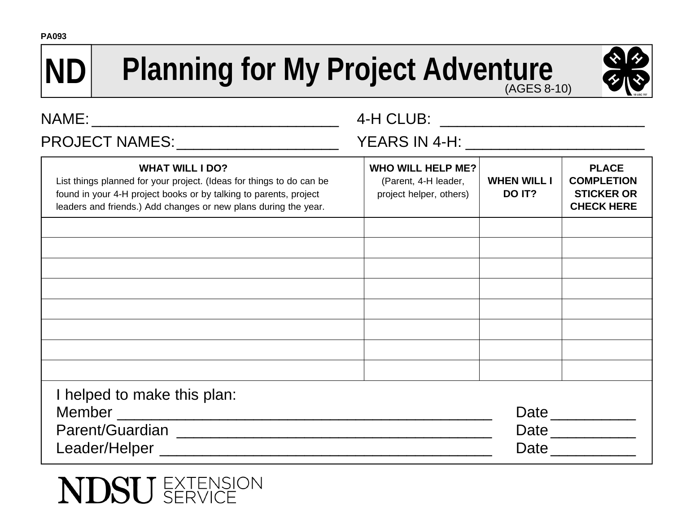## **ND Planning for My Project Adventure**



| PROJECT NAMES: ______________________                                                                                                                                                                                                  |                                                                             |                              |                                                                             |
|----------------------------------------------------------------------------------------------------------------------------------------------------------------------------------------------------------------------------------------|-----------------------------------------------------------------------------|------------------------------|-----------------------------------------------------------------------------|
| <b>WHAT WILL I DO?</b><br>List things planned for your project. (Ideas for things to do can be<br>found in your 4-H project books or by talking to parents, project<br>leaders and friends.) Add changes or new plans during the year. | <b>WHO WILL HELP ME?</b><br>(Parent, 4-H leader,<br>project helper, others) | <b>WHEN WILL I</b><br>DO IT? | <b>PLACE</b><br><b>COMPLETION</b><br><b>STICKER OR</b><br><b>CHECK HERE</b> |
|                                                                                                                                                                                                                                        |                                                                             |                              |                                                                             |
|                                                                                                                                                                                                                                        |                                                                             |                              |                                                                             |
|                                                                                                                                                                                                                                        |                                                                             |                              |                                                                             |
|                                                                                                                                                                                                                                        |                                                                             |                              |                                                                             |
| I helped to make this plan:                                                                                                                                                                                                            |                                                                             |                              |                                                                             |
|                                                                                                                                                                                                                                        |                                                                             |                              | Date                                                                        |
|                                                                                                                                                                                                                                        |                                                                             |                              | Date                                                                        |
| Leader/Helper Network and Contract the Contract of the Contract of the Contract of the Contract of the Contract of the Contract of the Contract of the Contract of the Contract of the Contract of the Contract of the Contrac         |                                                                             |                              | Date                                                                        |